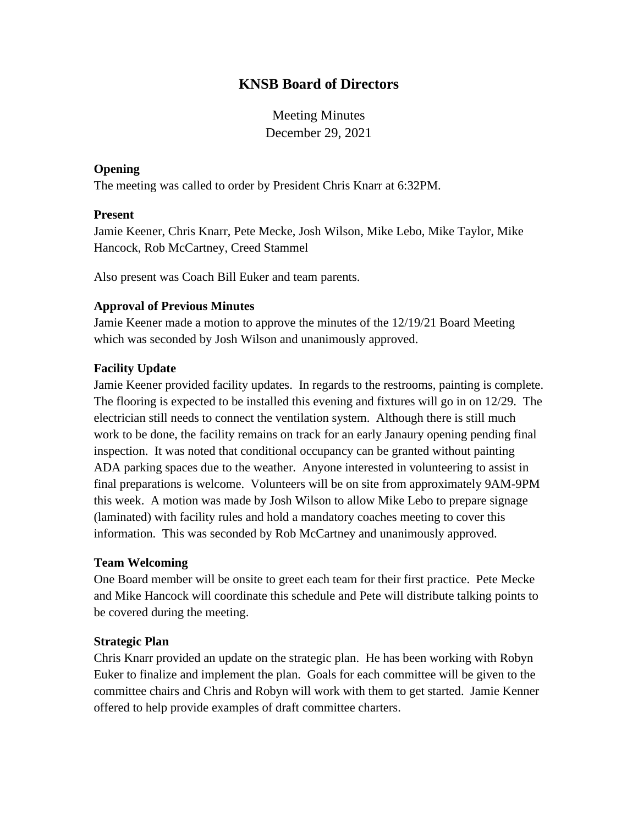# **KNSB Board of Directors**

Meeting Minutes December 29, 2021

#### **Opening**

The meeting was called to order by President Chris Knarr at 6:32PM.

#### **Present**

Jamie Keener, Chris Knarr, Pete Mecke, Josh Wilson, Mike Lebo, Mike Taylor, Mike Hancock, Rob McCartney, Creed Stammel

Also present was Coach Bill Euker and team parents.

## **Approval of Previous Minutes**

Jamie Keener made a motion to approve the minutes of the 12/19/21 Board Meeting which was seconded by Josh Wilson and unanimously approved.

## **Facility Update**

Jamie Keener provided facility updates. In regards to the restrooms, painting is complete. The flooring is expected to be installed this evening and fixtures will go in on 12/29. The electrician still needs to connect the ventilation system. Although there is still much work to be done, the facility remains on track for an early Janaury opening pending final inspection. It was noted that conditional occupancy can be granted without painting ADA parking spaces due to the weather. Anyone interested in volunteering to assist in final preparations is welcome. Volunteers will be on site from approximately 9AM-9PM this week. A motion was made by Josh Wilson to allow Mike Lebo to prepare signage (laminated) with facility rules and hold a mandatory coaches meeting to cover this information. This was seconded by Rob McCartney and unanimously approved.

## **Team Welcoming**

One Board member will be onsite to greet each team for their first practice. Pete Mecke and Mike Hancock will coordinate this schedule and Pete will distribute talking points to be covered during the meeting.

## **Strategic Plan**

Chris Knarr provided an update on the strategic plan. He has been working with Robyn Euker to finalize and implement the plan. Goals for each committee will be given to the committee chairs and Chris and Robyn will work with them to get started. Jamie Kenner offered to help provide examples of draft committee charters.